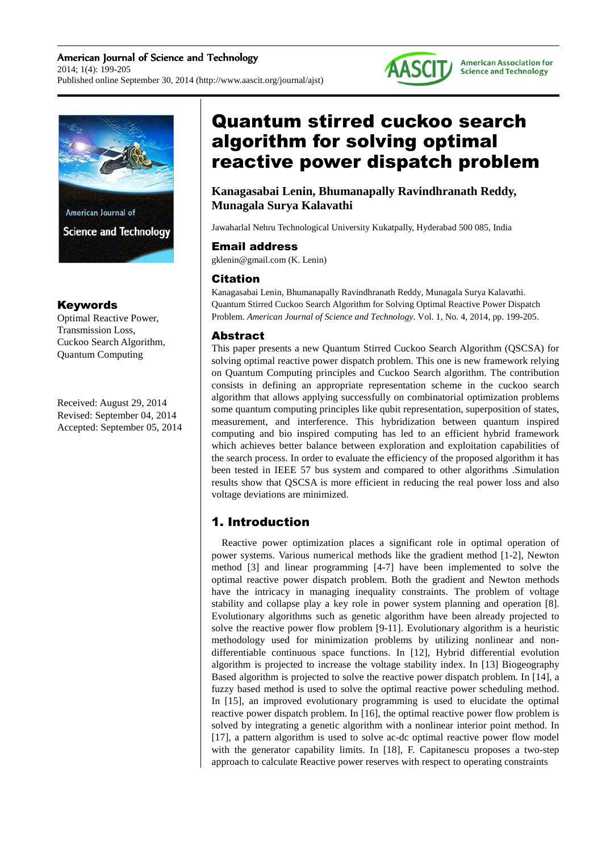American Journal of Science and Technology 2014; 1(4): 199-205 Published online September 30, 2014 (http://www.aascit.org/journal/ajst)





### Keywords

Optimal Reactive Power, Transmission Loss, Cuckoo Search Algorithm, Quantum Computing

Received: August 29, 2014 Revised: September 04, 2014 Accepted: September 05, 2014

# Quantum stirred cuckoo search algorithm for solving optimal reactive power dispatch problem

**Kanagasabai Lenin, Bhumanapally Ravindhranath Reddy, Munagala Surya Kalavathi** 

Jawaharlal Nehru Technological University Kukatpally, Hyderabad 500 085, India

### Email address

gklenin@gmail.com (K. Lenin)

# Citation

Kanagasabai Lenin, Bhumanapally Ravindhranath Reddy, Munagala Surya Kalavathi. Quantum Stirred Cuckoo Search Algorithm for Solving Optimal Reactive Power Dispatch Problem. *American Journal of Science and Technology*. Vol. 1, No. 4, 2014, pp. 199-205.

# Abstract

This paper presents a new Quantum Stirred Cuckoo Search Algorithm (QSCSA) for solving optimal reactive power dispatch problem. This one is new framework relying on Quantum Computing principles and Cuckoo Search algorithm. The contribution consists in defining an appropriate representation scheme in the cuckoo search algorithm that allows applying successfully on combinatorial optimization problems some quantum computing principles like qubit representation, superposition of states, measurement, and interference. This hybridization between quantum inspired computing and bio inspired computing has led to an efficient hybrid framework which achieves better balance between exploration and exploitation capabilities of the search process. In order to evaluate the efficiency of the proposed algorithm it has been tested in IEEE 57 bus system and compared to other algorithms .Simulation results show that QSCSA is more efficient in reducing the real power loss and also voltage deviations are minimized.

# 1. Introduction

Reactive power optimization places a significant role in optimal operation of power systems. Various numerical methods like the gradient method [1-2], Newton method [3] and linear programming [4-7] have been implemented to solve the optimal reactive power dispatch problem. Both the gradient and Newton methods have the intricacy in managing inequality constraints. The problem of voltage stability and collapse play a key role in power system planning and operation [8]. Evolutionary algorithms such as genetic algorithm have been already projected to solve the reactive power flow problem [9-11]. Evolutionary algorithm is a heuristic methodology used for minimization problems by utilizing nonlinear and nondifferentiable continuous space functions. In [12], Hybrid differential evolution algorithm is projected to increase the voltage stability index. In [13] Biogeography Based algorithm is projected to solve the reactive power dispatch problem. In [14], a fuzzy based method is used to solve the optimal reactive power scheduling method. In [15], an improved evolutionary programming is used to elucidate the optimal reactive power dispatch problem. In [16], the optimal reactive power flow problem is solved by integrating a genetic algorithm with a nonlinear interior point method. In [17], a pattern algorithm is used to solve ac-dc optimal reactive power flow model with the generator capability limits. In [18], F. Capitanescu proposes a two-step approach to calculate Reactive power reserves with respect to operating constraints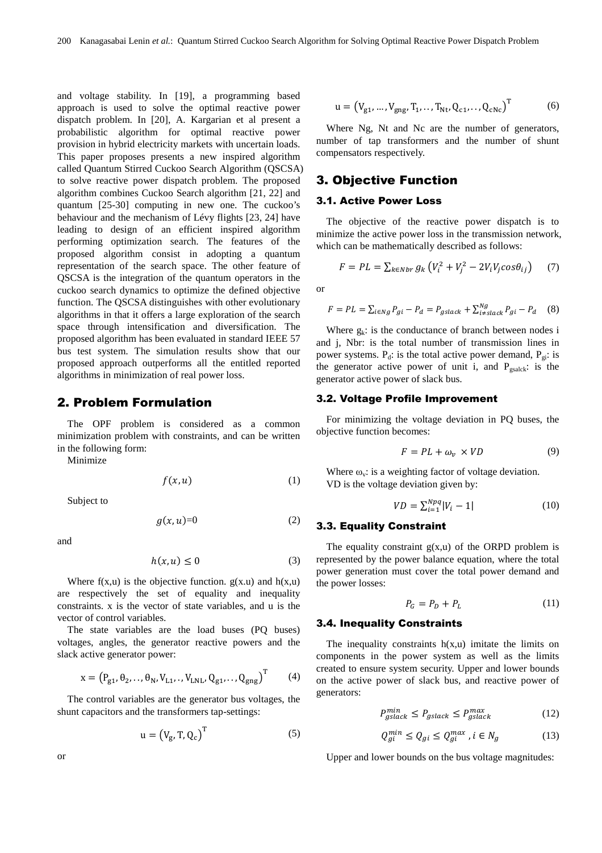and voltage stability. In [19], a programming based approach is used to solve the optimal reactive power dispatch problem. In [20], A. Kargarian et al present a probabilistic algorithm for optimal reactive power provision in hybrid electricity markets with uncertain loads. This paper proposes presents a new inspired algorithm called Quantum Stirred Cuckoo Search Algorithm (QSCSA) to solve reactive power dispatch problem. The proposed algorithm combines Cuckoo Search algorithm [21, 22] and quantum [25-30] computing in new one. The cuckoo's behaviour and the mechanism of Lévy flights [23, 24] have leading to design of an efficient inspired algorithm performing optimization search. The features of the proposed algorithm consist in adopting a quantum representation of the search space. The other feature of QSCSA is the integration of the quantum operators in the cuckoo search dynamics to optimize the defined objective function. The QSCSA distinguishes with other evolutionary algorithms in that it offers a large exploration of the search space through intensification and diversification. The proposed algorithm has been evaluated in standard IEEE 57 bus test system. The simulation results show that our proposed approach outperforms all the entitled reported algorithms in minimization of real power loss.

### 2. Problem Formulation

The OPF problem is considered as a common minimization problem with constraints, and can be written in the following form:

Minimize

$$
f(x, u) \tag{1}
$$

Subject to

$$
g(x, u)=0 \tag{2}
$$

and

$$
h(x, u) \le 0 \tag{3}
$$

Where  $f(x, u)$  is the objective function.  $g(x, u)$  and  $h(x, u)$ are respectively the set of equality and inequality constraints. x is the vector of state variables, and u is the vector of control variables.

The state variables are the load buses (PQ buses) voltages, angles, the generator reactive powers and the slack active generator power:

$$
x = (P_{g1}, \theta_2, ..., \theta_N, V_{L1}, ..., V_{LNL}, Q_{g1}, ..., Q_{gng})^T
$$
 (4)

The control variables are the generator bus voltages, the shunt capacitors and the transformers tap-settings:

$$
u = (V_g, T, Q_c)^T
$$
 (5)

$$
u = (V_{g1}, ..., V_{gng}, T_1, ..., T_{Nt}, Q_{c1}, ..., Q_{cNc})^T
$$
(6)

Where Ng, Nt and Nc are the number of generators, number of tap transformers and the number of shunt compensators respectively.

### 3. Objective Function

#### 3.1. Active Power Loss

The objective of the reactive power dispatch is to minimize the active power loss in the transmission network, which can be mathematically described as follows:

$$
F = PL = \sum_{k \in Nbr} g_k \left( V_i^2 + V_j^2 - 2V_i V_j \cos \theta_{ij} \right) \tag{7}
$$

or

$$
F = PL = \sum_{i \in Ng} P_{gi} - P_d = P_{gslack} + \sum_{i \neq slack}^{Ng} P_{gi} - P_d \quad (8)
$$

Where  $g_k$ : is the conductance of branch between nodes i and j, Nbr: is the total number of transmission lines in power systems.  $P_d$ : is the total active power demand,  $P_g$ : is the generator active power of unit i, and  $P_{gsalek}$ : is the generator active power of slack bus.

#### 3.2. Voltage Profile Improvement

For minimizing the voltage deviation in PQ buses, the objective function becomes:

$$
F = PL + \omega_v \times VD \tag{9}
$$

Where  $\omega_{\rm v}$ : is a weighting factor of voltage deviation. VD is the voltage deviation given by:

$$
VD = \sum_{i=1}^{Npq} |V_i - 1| \tag{10}
$$

### 3.3. Equality Constraint

The equality constraint  $g(x, u)$  of the ORPD problem is represented by the power balance equation, where the total power generation must cover the total power demand and the power losses:

$$
P_G = P_D + P_L \tag{11}
$$

#### 3.4. Inequality Constraints

The inequality constraints  $h(x, u)$  imitate the limits on components in the power system as well as the limits created to ensure system security. Upper and lower bounds on the active power of slack bus, and reactive power of generators:

$$
P_{gslack}^{min} \le P_{gslack} \le P_{gslack}^{max} \tag{12}
$$

$$
Q_{gi}^{min} \le Q_{gi} \le Q_{gi}^{max}, i \in N_g \tag{13}
$$

Upper and lower bounds on the bus voltage magnitudes: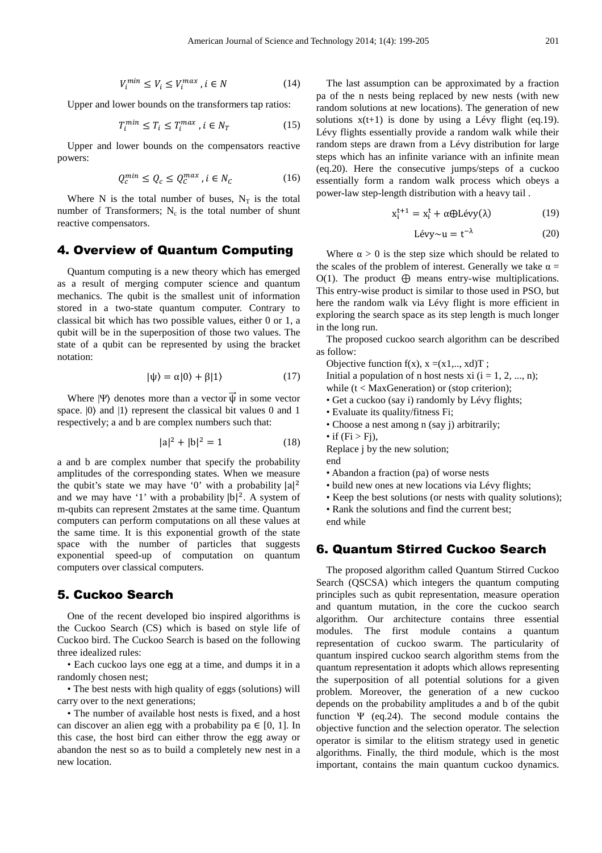$$
V_i^{min} \le V_i \le V_i^{max}, i \in N \tag{14}
$$

Upper and lower bounds on the transformers tap ratios:

$$
T_i^{min} \le T_i \le T_i^{max}, i \in N_T \tag{15}
$$

Upper and lower bounds on the compensators reactive powers:

$$
Q_c^{min} \le Q_c \le Q_c^{max}, i \in N_c \tag{16}
$$

Where N is the total number of buses,  $N_T$  is the total number of Transformers;  $N_c$  is the total number of shunt reactive compensators.

### 4. Overview of Quantum Computing

Quantum computing is a new theory which has emerged as a result of merging computer science and quantum mechanics. The qubit is the smallest unit of information stored in a two-state quantum computer. Contrary to classical bit which has two possible values, either 0 or 1, a qubit will be in the superposition of those two values. The state of a qubit can be represented by using the bracket notation:

$$
|\psi\rangle = \alpha|0\rangle + \beta|1\rangle \tag{17}
$$

Where  $|\Psi\rangle$  denotes more than a vector  $\overrightarrow{\psi}$  in some vector space.  $|0\rangle$  and  $|1\rangle$  represent the classical bit values 0 and 1 respectively; a and b are complex numbers such that:

$$
|a|^2 + |b|^2 = 1
$$
 (18)

a and b are complex number that specify the probability amplitudes of the corresponding states. When we measure the qubit's state we may have '0' with a probability  $|a|^2$ and we may have '1' with a probability  $|b|^2$ . A system of m-qubits can represent 2mstates at the same time. Quantum computers can perform computations on all these values at the same time. It is this exponential growth of the state space with the number of particles that suggests exponential speed-up of computation on quantum computers over classical computers.

# 5. Cuckoo Search

One of the recent developed bio inspired algorithms is the Cuckoo Search (CS) which is based on style life of Cuckoo bird. The Cuckoo Search is based on the following three idealized rules:

• Each cuckoo lays one egg at a time, and dumps it in a randomly chosen nest;

• The best nests with high quality of eggs (solutions) will carry over to the next generations;

• The number of available host nests is fixed, and a host can discover an alien egg with a probability pa  $\in$  [0, 1]. In this case, the host bird can either throw the egg away or abandon the nest so as to build a completely new nest in a new location.

The last assumption can be approximated by a fraction pa of the n nests being replaced by new nests (with new random solutions at new locations). The generation of new solutions  $x(t+1)$  is done by using a Lévy flight (eq.19). Lévy flights essentially provide a random walk while their random steps are drawn from a Lévy distribution for large steps which has an infinite variance with an infinite mean (eq.20). Here the consecutive jumps/steps of a cuckoo essentially form a random walk process which obeys a power-law step-length distribution with a heavy tail .

$$
x_i^{t+1} = x_i^t + \alpha \oplus Lévy(\lambda)
$$
 (19)

$$
Lévy \sim u = t^{-\lambda} \tag{20}
$$

Where  $\alpha > 0$  is the step size which should be related to the scales of the problem of interest. Generally we take  $\alpha =$ O(1). The product  $\bigoplus$  means entry-wise multiplications. This entry-wise product is similar to those used in PSO, but here the random walk via Lévy flight is more efficient in exploring the search space as its step length is much longer in the long run.

The proposed cuckoo search algorithm can be described as follow:

Objective function  $f(x)$ ,  $x = (x1, \dots, xd)T$ ;

Initial a population of n host nests xi  $(i = 1, 2, ..., n)$ ; while (t < MaxGeneration) or (stop criterion);

- Get a cuckoo (say i) randomly by Lévy flights;
- Evaluate its quality/fitness Fi;
- Choose a nest among n (say j) arbitrarily;
- if  $(Fi > Fj)$ ,

Replace j by the new solution;

end

• Abandon a fraction (pa) of worse nests

• build new ones at new locations via Lévy flights;

- Keep the best solutions (or nests with quality solutions);
- Rank the solutions and find the current best:

end while

# 6. Quantum Stirred Cuckoo Search

The proposed algorithm called Quantum Stirred Cuckoo Search (QSCSA) which integers the quantum computing principles such as qubit representation, measure operation and quantum mutation, in the core the cuckoo search algorithm. Our architecture contains three essential modules. The first module contains a quantum representation of cuckoo swarm. The particularity of quantum inspired cuckoo search algorithm stems from the quantum representation it adopts which allows representing the superposition of all potential solutions for a given problem. Moreover, the generation of a new cuckoo depends on the probability amplitudes a and b of the qubit function  $\Psi$  (eq. 24). The second module contains the objective function and the selection operator. The selection operator is similar to the elitism strategy used in genetic algorithms. Finally, the third module, which is the most important, contains the main quantum cuckoo dynamics.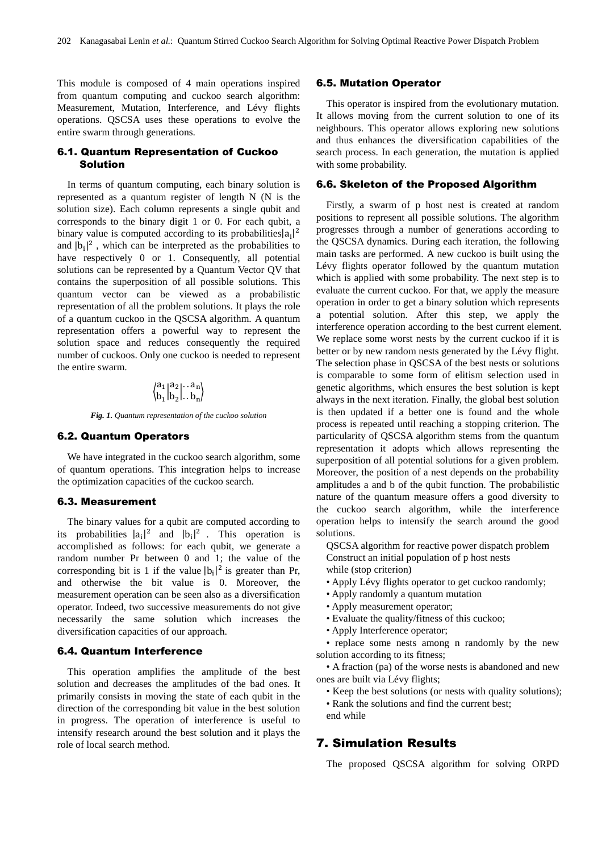This module is composed of 4 main operations inspired from quantum computing and cuckoo search algorithm: Measurement, Mutation, Interference, and Lévy flights operations. QSCSA uses these operations to evolve the entire swarm through generations.

### 6.1. Quantum Representation of Cuckoo Solution

In terms of quantum computing, each binary solution is represented as a quantum register of length N (N is the solution size). Each column represents a single qubit and corresponds to the binary digit 1 or 0. For each qubit, a binary value is computed according to its probabilities $|a_i|^2$ and  $|b_i|^2$ , which can be interpreted as the probabilities to have respectively 0 or 1. Consequently, all potential solutions can be represented by a Quantum Vector QV that contains the superposition of all possible solutions. This quantum vector can be viewed as a probabilistic representation of all the problem solutions. It plays the role of a quantum cuckoo in the QSCSA algorithm. A quantum representation offers a powerful way to represent the solution space and reduces consequently the required number of cuckoos. Only one cuckoo is needed to represent the entire swarm.

$$
\begin{pmatrix} a_1 | a_2 | \ldots a_n \\ b_1 | b_2 | \ldots b_n \end{pmatrix}
$$

*Fig. 1. Quantum representation of the cuckoo solution* 

#### 6.2. Quantum Operators

We have integrated in the cuckoo search algorithm, some of quantum operations. This integration helps to increase the optimization capacities of the cuckoo search.

#### 6.3. Measurement

The binary values for a qubit are computed according to its probabilities  $|a_i|^2$  and  $|b_i|^2$ . This operation is accomplished as follows: for each qubit, we generate a random number Pr between 0 and 1; the value of the corresponding bit is 1 if the value  $|b_i|^2$  is greater than Pr, and otherwise the bit value is 0. Moreover, the measurement operation can be seen also as a diversification operator. Indeed, two successive measurements do not give necessarily the same solution which increases the diversification capacities of our approach.

### 6.4. Quantum Interference

This operation amplifies the amplitude of the best solution and decreases the amplitudes of the bad ones. It primarily consists in moving the state of each qubit in the direction of the corresponding bit value in the best solution in progress. The operation of interference is useful to intensify research around the best solution and it plays the role of local search method.

#### 6.5. Mutation Operator

This operator is inspired from the evolutionary mutation. It allows moving from the current solution to one of its neighbours. This operator allows exploring new solutions and thus enhances the diversification capabilities of the search process. In each generation, the mutation is applied with some probability.

### 6.6. Skeleton of the Proposed Algorithm

Firstly, a swarm of p host nest is created at random positions to represent all possible solutions. The algorithm progresses through a number of generations according to the QSCSA dynamics. During each iteration, the following main tasks are performed. A new cuckoo is built using the Lévy flights operator followed by the quantum mutation which is applied with some probability. The next step is to evaluate the current cuckoo. For that, we apply the measure operation in order to get a binary solution which represents a potential solution. After this step, we apply the interference operation according to the best current element. We replace some worst nests by the current cuckoo if it is better or by new random nests generated by the Lévy flight. The selection phase in QSCSA of the best nests or solutions is comparable to some form of elitism selection used in genetic algorithms, which ensures the best solution is kept always in the next iteration. Finally, the global best solution is then updated if a better one is found and the whole process is repeated until reaching a stopping criterion. The particularity of QSCSA algorithm stems from the quantum representation it adopts which allows representing the superposition of all potential solutions for a given problem. Moreover, the position of a nest depends on the probability amplitudes a and b of the qubit function. The probabilistic nature of the quantum measure offers a good diversity to the cuckoo search algorithm, while the interference operation helps to intensify the search around the good solutions.

QSCSA algorithm for reactive power dispatch problem Construct an initial population of p host nests while (stop criterion)

- Apply Lévy flights operator to get cuckoo randomly;
- Apply randomly a quantum mutation
- Apply measurement operator;
- Evaluate the quality/fitness of this cuckoo;
- Apply Interference operator;

• replace some nests among n randomly by the new solution according to its fitness;

• A fraction (pa) of the worse nests is abandoned and new ones are built via Lévy flights;

- Keep the best solutions (or nests with quality solutions);
- Rank the solutions and find the current best;
- end while

# 7. Simulation Results

The proposed QSCSA algorithm for solving ORPD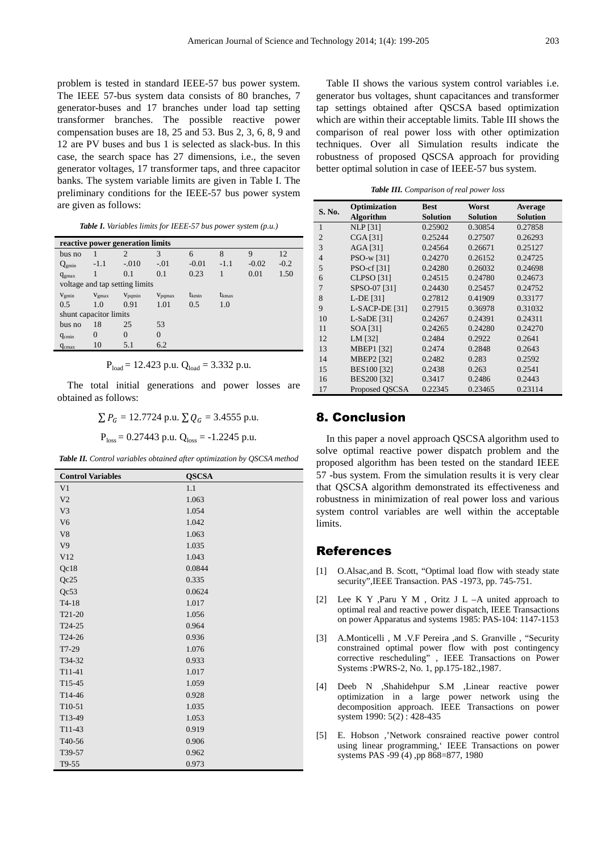problem is tested in standard IEEE-57 bus power system. The IEEE 57-bus system data consists of 80 branches, 7 generator-buses and 17 branches under load tap setting transformer branches. The possible reactive power compensation buses are 18, 25 and 53. Bus 2, 3, 6, 8, 9 and 12 are PV buses and bus 1 is selected as slack-bus. In this case, the search space has 27 dimensions, i.e., the seven generator voltages, 17 transformer taps, and three capacitor banks. The system variable limits are given in Table I. The preliminary conditions for the IEEE-57 bus power system are given as follows:

| reactive power generation limits |                |             |                    |            |                |         |        |  |  |
|----------------------------------|----------------|-------------|--------------------|------------|----------------|---------|--------|--|--|
| bus no                           |                | 2           | 3                  | 6          | 8              | 9       | 12     |  |  |
| $\mathrm{Q}_{\mathrm{gmin}}$     | $-1.1$         | $-.010$     | $-.01$             | $-0.01$    | $-1.1$         | $-0.02$ | $-0.2$ |  |  |
| $q_{\text{gmax}}$                |                | 0.1         | 0.1                | 0.23       | 1              | 0.01    | 1.50   |  |  |
| voltage and tap setting limits   |                |             |                    |            |                |         |        |  |  |
| $V_{\text{emin}}$                | $V_{\rm gmax}$ | $V_{pqmin}$ | $V_{\text{pomax}}$ | $t_{kmin}$ | $t_{\rm kmax}$ |         |        |  |  |
| 0.5                              | 1.0            | 0.91        | 1.01               | 0.5        | 1.0            |         |        |  |  |
| shunt capacitor limits           |                |             |                    |            |                |         |        |  |  |
| bus no                           | 18             | 25          | 53                 |            |                |         |        |  |  |
| $q_{\text{cmin}}$                | 0              | $\theta$    | $\theta$           |            |                |         |        |  |  |
| $q_{\text{cmax}}$                | 10             | 5.1         | 6.2                |            |                |         |        |  |  |

$$
P_{load} = 12.423 \text{ p.u. } Q_{load} = 3.332 \text{ p.u.}
$$

The total initial generations and power losses are obtained as follows:

$$
\sum P_G = 12.7724
$$
 p.u.  $\sum Q_G = 3.4555$  p.u.  
P<sub>loss</sub> = 0.27443 p.u. Q<sub>loss</sub> = -1.2245 p.u.

*Table II. Control variables obtained after optimization by QSCSA method* 

| <b>Control Variables</b> | <b>QSCSA</b> |
|--------------------------|--------------|
| V <sub>1</sub>           | 1.1          |
| V <sub>2</sub>           | 1.063        |
| V <sub>3</sub>           | 1.054        |
| V <sub>6</sub>           | 1.042        |
| V <sub>8</sub>           | 1.063        |
| V9                       | 1.035        |
| V12                      | 1.043        |
| Qc18                     | 0.0844       |
| Qc25                     | 0.335        |
| Qc53                     | 0.0624       |
| $T4-18$                  | 1.017        |
| $T21-20$                 | 1.056        |
| T24-25                   | 0.964        |
| T24-26                   | 0.936        |
| T7-29                    | 1.076        |
| T34-32                   | 0.933        |
| $T11-41$                 | 1.017        |
| T15-45                   | 1.059        |
| T14-46                   | 0.928        |
| T <sub>10</sub> -51      | 1.035        |
| T13-49                   | 1.053        |
| T11-43                   | 0.919        |
| T40-56                   | 0.906        |
| T39-57                   | 0.962        |
| T9-55                    | 0.973        |

Table II shows the various system control variables i.e. generator bus voltages, shunt capacitances and transformer tap settings obtained after QSCSA based optimization which are within their acceptable limits. Table III shows the comparison of real power loss with other optimization techniques. Over all Simulation results indicate the robustness of proposed QSCSA approach for providing better optimal solution in case of IEEE-57 bus system.

*Table III. Comparison of real power loss* 

| S. No.         | Optimization       | <b>Best</b>     | Worst           | <b>Average</b>  |
|----------------|--------------------|-----------------|-----------------|-----------------|
|                | <b>Algorithm</b>   | <b>Solution</b> | <b>Solution</b> | <b>Solution</b> |
| 1              | <b>NLP</b> [31]    | 0.25902         | 0.30854         | 0.27858         |
| $\overline{2}$ | <b>CGA [31]</b>    | 0.25244         | 0.27507         | 0.26293         |
| 3              | AGA [31]           | 0.24564         | 0.26671         | 0.25127         |
| $\overline{4}$ | PSO-w [31]         | 0.24270         | 0.26152         | 0.24725         |
| 5              | PSO-cf [31]        | 0.24280         | 0.26032         | 0.24698         |
| 6              | <b>CLPSO</b> [31]  | 0.24515         | 0.24780         | 0.24673         |
| 7              | SPSO-07 [31]       | 0.24430         | 0.25457         | 0.24752         |
| 8              | L-DE [31]          | 0.27812         | 0.41909         | 0.33177         |
| $\mathbf Q$    | $L-SACP-DE$ [31]   | 0.27915         | 0.36978         | 0.31032         |
| 10             | $L-SaDE$ [31]      | 0.24267         | 0.24391         | 0.24311         |
| 11             | SOA [31]           | 0.24265         | 0.24280         | 0.24270         |
| 12             | LM [32]            | 0.2484          | 0.2922          | 0.2641          |
| 13             | <b>MBEP1</b> [32]  | 0.2474          | 0.2848          | 0.2643          |
| 14             | <b>MBEP2</b> [32]  | 0.2482          | 0.283           | 0.2592          |
| 15             | <b>BES100 [32]</b> | 0.2438          | 0.263           | 0.2541          |
| 16             | BES200 [32]        | 0.3417          | 0.2486          | 0.2443          |
| 17             | Proposed OSCSA     | 0.22345         | 0.23465         | 0.23114         |

# 8. Conclusion

In this paper a novel approach QSCSA algorithm used to solve optimal reactive power dispatch problem and the proposed algorithm has been tested on the standard IEEE 57 -bus system. From the simulation results it is very clear that QSCSA algorithm demonstrated its effectiveness and robustness in minimization of real power loss and various system control variables are well within the acceptable limits.

### References

- [1] O.Alsac,and B. Scott, "Optimal load flow with steady state security",IEEE Transaction. PAS -1973, pp. 745-751.
- [2] Lee K Y ,Paru Y M , Oritz J L –A united approach to optimal real and reactive power dispatch, IEEE Transactions on power Apparatus and systems 1985: PAS-104: 1147-1153
- [3] A.Monticelli , M .V.F Pereira ,and S. Granville , "Security constrained optimal power flow with post contingency corrective rescheduling" , IEEE Transactions on Power Systems :PWRS-2, No. 1, pp.175-182.,1987.
- [4] Deeb N ,Shahidehpur S.M ,Linear reactive power optimization in a large power network using the decomposition approach. IEEE Transactions on power system 1990: 5(2): 428-435
- [5] E. Hobson ,'Network consrained reactive power control using linear programming,' IEEE Transactions on power systems PAS -99 (4) ,pp 868=877, 1980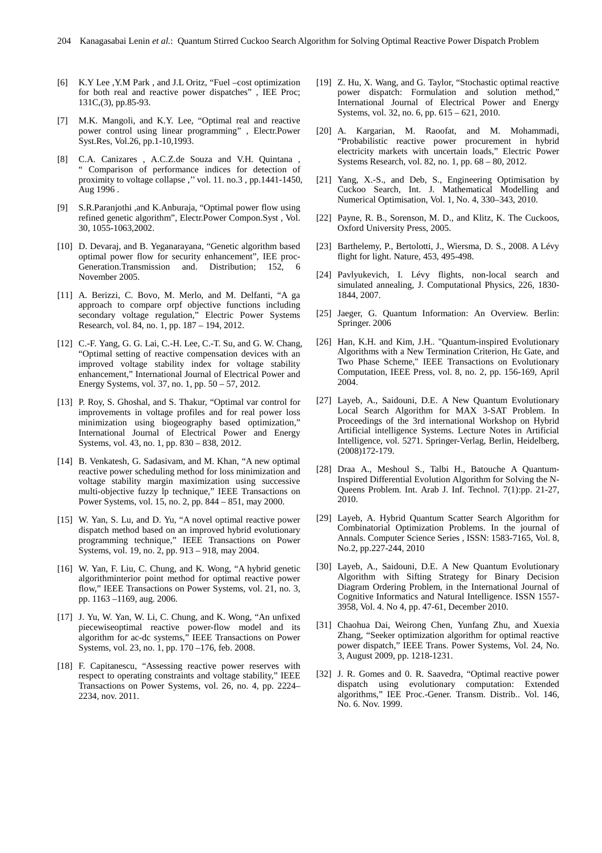- [6] K.Y Lee ,Y.M Park , and J.L Oritz, "Fuel –cost optimization for both real and reactive power dispatches" , IEE Proc; 131C,(3), pp.85-93.
- [7] M.K. Mangoli, and K.Y. Lee, "Optimal real and reactive power control using linear programming" , Electr.Power Syst.Res, Vol.26, pp.1-10,1993.
- [8] C.A. Canizares , A.C.Z.de Souza and V.H. Quintana , " Comparison of performance indices for detection of proximity to voltage collapse ," vol. 11. no.3, pp.1441-1450, Aug 1996 .
- [9] S.R.Paranjothi ,and K.Anburaja, "Optimal power flow using refined genetic algorithm", Electr.Power Compon.Syst , Vol. 30, 1055-1063,2002.
- [10] D. Devaraj, and B. Yeganarayana, "Genetic algorithm based optimal power flow for security enhancement", IEE proc-Generation.Transmission and. Distribution; 152, 6 November 2005.
- [11] A. Berizzi, C. Bovo, M. Merlo, and M. Delfanti, "A ga approach to compare orpf objective functions including secondary voltage regulation," Electric Power Systems Research, vol. 84, no. 1, pp. 187 – 194, 2012.
- [12] C.-F. Yang, G. G. Lai, C.-H. Lee, C.-T. Su, and G. W. Chang, "Optimal setting of reactive compensation devices with an improved voltage stability index for voltage stability enhancement," International Journal of Electrical Power and Energy Systems, vol. 37, no. 1, pp. 50 – 57, 2012.
- [13] P. Roy, S. Ghoshal, and S. Thakur, "Optimal var control for improvements in voltage profiles and for real power loss minimization using biogeography based optimization," International Journal of Electrical Power and Energy Systems, vol. 43, no. 1, pp. 830 – 838, 2012.
- [14] B. Venkatesh, G. Sadasivam, and M. Khan, "A new optimal reactive power scheduling method for loss minimization and voltage stability margin maximization using successive multi-objective fuzzy lp technique," IEEE Transactions on Power Systems, vol. 15, no. 2, pp. 844 – 851, may 2000.
- [15] W. Yan, S. Lu, and D. Yu, "A novel optimal reactive power dispatch method based on an improved hybrid evolutionary programming technique," IEEE Transactions on Power Systems, vol. 19, no. 2, pp. 913 – 918, may 2004.
- [16] W. Yan, F. Liu, C. Chung, and K. Wong, "A hybrid genetic algorithminterior point method for optimal reactive power flow," IEEE Transactions on Power Systems, vol. 21, no. 3, pp. 1163 –1169, aug. 2006.
- [17] J. Yu, W. Yan, W. Li, C. Chung, and K. Wong, "An unfixed piecewiseoptimal reactive power-flow model and its algorithm for ac-dc systems," IEEE Transactions on Power Systems, vol. 23, no. 1, pp. 170 –176, feb. 2008.
- [18] F. Capitanescu, "Assessing reactive power reserves with respect to operating constraints and voltage stability," IEEE Transactions on Power Systems, vol. 26, no. 4, pp. 2224– 2234, nov. 2011.
- [19] Z. Hu, X. Wang, and G. Taylor, "Stochastic optimal reactive power dispatch: Formulation and solution method," International Journal of Electrical Power and Energy Systems, vol. 32, no. 6, pp. 615 – 621, 2010.
- [20] A. Kargarian, M. Raoofat, and M. Mohammadi, "Probabilistic reactive power procurement in hybrid electricity markets with uncertain loads," Electric Power Systems Research, vol. 82, no. 1, pp. 68 – 80, 2012.
- [21] Yang, X.-S., and Deb, S., Engineering Optimisation by Cuckoo Search, Int. J. Mathematical Modelling and Numerical Optimisation, Vol. 1, No. 4, 330–343, 2010.
- [22] Payne, R. B., Sorenson, M. D., and Klitz, K. The Cuckoos, Oxford University Press, 2005.
- [23] Barthelemy, P., Bertolotti, J., Wiersma, D. S., 2008. A Lévy flight for light. Nature, 453, 495-498.
- [24] Pavlyukevich, I. Lévy flights, non-local search and simulated annealing, J. Computational Physics, 226, 1830- 1844, 2007.
- [25] Jaeger, G. Quantum Information: An Overview. Berlin: Springer. 2006
- [26] Han, K.H. and Kim, J.H.. "Quantum-inspired Evolutionary Algorithms with a New Termination Criterion, Hε Gate, and Two Phase Scheme," IEEE Transactions on Evolutionary Computation, IEEE Press, vol. 8, no. 2, pp. 156-169, April 2004.
- [27] Layeb, A., Saidouni, D.E. A New Quantum Evolutionary Local Search Algorithm for MAX 3-SAT Problem. In Proceedings of the 3rd international Workshop on Hybrid Artificial intelligence Systems. Lecture Notes in Artificial Intelligence, vol. 5271. Springer-Verlag, Berlin, Heidelberg, (2008)172-179.
- [28] Draa A., Meshoul S., Talbi H., Batouche A Quantum-Inspired Differential Evolution Algorithm for Solving the N-Queens Problem. Int. Arab J. Inf. Technol. 7(1):pp. 21-27, 2010.
- [29] Layeb, A. Hybrid Quantum Scatter Search Algorithm for Combinatorial Optimization Problems. In the journal of Annals. Computer Science Series , ISSN: 1583-7165, Vol. 8, No.2, pp.227-244, 2010
- [30] Layeb, A., Saidouni, D.E. A New Quantum Evolutionary Algorithm with Sifting Strategy for Binary Decision Diagram Ordering Problem, in the International Journal of Cognitive Informatics and Natural Intelligence. ISSN 1557- 3958, Vol. 4. No 4, pp. 47-61, December 2010.
- [31] Chaohua Dai, Weirong Chen, Yunfang Zhu, and Xuexia Zhang, "Seeker optimization algorithm for optimal reactive power dispatch," IEEE Trans. Power Systems, Vol. 24, No. 3, August 2009, pp. 1218-1231.
- [32] J. R. Gomes and 0. R. Saavedra, "Optimal reactive power dispatch using evolutionary computation: Extended algorithms," IEE Proc.-Gener. Transm. Distrib.. Vol. 146, No. 6. Nov. 1999.